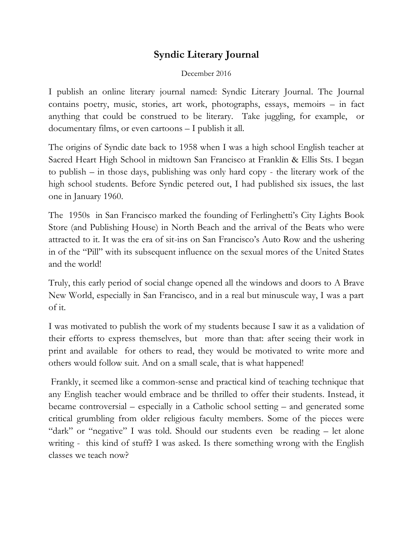## **Syndic Literary Journal**

## December 2016

I publish an online literary journal named: Syndic Literary Journal. The Journal contains poetry, music, stories, art work, photographs, essays, memoirs – in fact anything that could be construed to be literary. Take juggling, for example, or documentary films, or even cartoons – I publish it all.

The origins of Syndic date back to 1958 when I was a high school English teacher at Sacred Heart High School in midtown San Francisco at Franklin & Ellis Sts. I began to publish – in those days, publishing was only hard copy - the literary work of the high school students. Before Syndic petered out, I had published six issues, the last one in January 1960.

The 1950s in San Francisco marked the founding of Ferlinghetti's City Lights Book Store (and Publishing House) in North Beach and the arrival of the Beats who were attracted to it. It was the era of sit-ins on San Francisco's Auto Row and the ushering in of the "Pill" with its subsequent influence on the sexual mores of the United States and the world!

Truly, this early period of social change opened all the windows and doors to A Brave New World, especially in San Francisco, and in a real but minuscule way, I was a part of it.

I was motivated to publish the work of my students because I saw it as a validation of their efforts to express themselves, but more than that: after seeing their work in print and available for others to read, they would be motivated to write more and others would follow suit. And on a small scale, that is what happened!

Frankly, it seemed like a common-sense and practical kind of teaching technique that any English teacher would embrace and be thrilled to offer their students. Instead, it became controversial – especially in a Catholic school setting – and generated some critical grumbling from older religious faculty members. Some of the pieces were "dark" or "negative" I was told. Should our students even be reading – let alone writing - this kind of stuff? I was asked. Is there something wrong with the English classes we teach now?